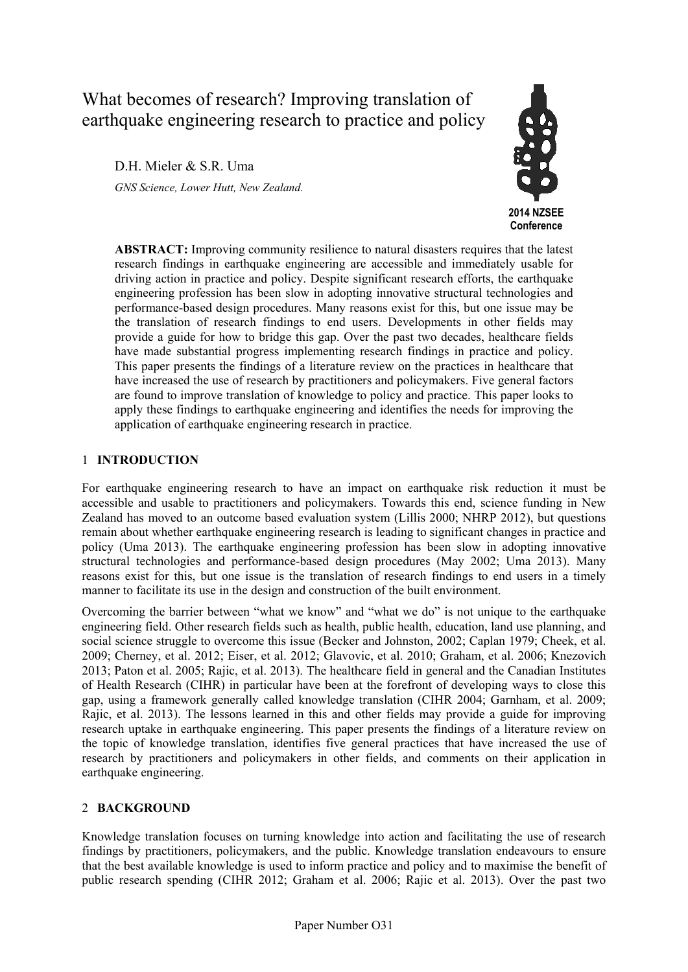# What becomes of research? Improving translation of earthquake engineering research to practice and policy

D.H. Mieler & S.R. Uma *GNS Science, Lower Hutt, New Zealand.* 



**ABSTRACT:** Improving community resilience to natural disasters requires that the latest research findings in earthquake engineering are accessible and immediately usable for driving action in practice and policy. Despite significant research efforts, the earthquake engineering profession has been slow in adopting innovative structural technologies and performance-based design procedures. Many reasons exist for this, but one issue may be the translation of research findings to end users. Developments in other fields may provide a guide for how to bridge this gap. Over the past two decades, healthcare fields have made substantial progress implementing research findings in practice and policy. This paper presents the findings of a literature review on the practices in healthcare that have increased the use of research by practitioners and policymakers. Five general factors are found to improve translation of knowledge to policy and practice. This paper looks to apply these findings to earthquake engineering and identifies the needs for improving the application of earthquake engineering research in practice.

# 1 **INTRODUCTION**

For earthquake engineering research to have an impact on earthquake risk reduction it must be accessible and usable to practitioners and policymakers. Towards this end, science funding in New Zealand has moved to an outcome based evaluation system (Lillis 2000; NHRP 2012), but questions remain about whether earthquake engineering research is leading to significant changes in practice and policy (Uma 2013). The earthquake engineering profession has been slow in adopting innovative structural technologies and performance-based design procedures (May 2002; Uma 2013). Many reasons exist for this, but one issue is the translation of research findings to end users in a timely manner to facilitate its use in the design and construction of the built environment.

Overcoming the barrier between "what we know" and "what we do" is not unique to the earthquake engineering field. Other research fields such as health, public health, education, land use planning, and social science struggle to overcome this issue (Becker and Johnston, 2002; Caplan 1979; Cheek, et al. 2009; Cherney, et al. 2012; Eiser, et al. 2012; Glavovic, et al. 2010; Graham, et al. 2006; Knezovich 2013; Paton et al. 2005; Rajic, et al. 2013). The healthcare field in general and the Canadian Institutes of Health Research (CIHR) in particular have been at the forefront of developing ways to close this gap, using a framework generally called knowledge translation (CIHR 2004; Garnham, et al. 2009; Rajic, et al. 2013). The lessons learned in this and other fields may provide a guide for improving research uptake in earthquake engineering. This paper presents the findings of a literature review on the topic of knowledge translation, identifies five general practices that have increased the use of research by practitioners and policymakers in other fields, and comments on their application in earthquake engineering.

# 2 **BACKGROUND**

Knowledge translation focuses on turning knowledge into action and facilitating the use of research findings by practitioners, policymakers, and the public. Knowledge translation endeavours to ensure that the best available knowledge is used to inform practice and policy and to maximise the benefit of public research spending (CIHR 2012; Graham et al. 2006; Rajic et al. 2013). Over the past two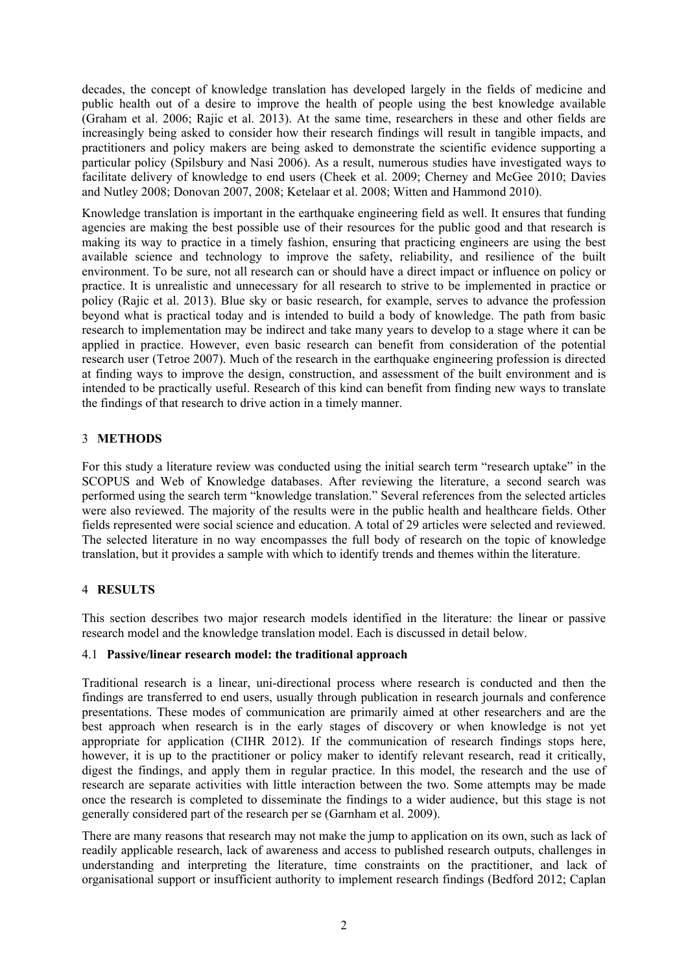decades, the concept of knowledge translation has developed largely in the fields of medicine and public health out of a desire to improve the health of people using the best knowledge available (Graham et al. 2006; Rajic et al. 2013). At the same time, researchers in these and other fields are increasingly being asked to consider how their research findings will result in tangible impacts, and practitioners and policy makers are being asked to demonstrate the scientific evidence supporting a particular policy (Spilsbury and Nasi 2006). As a result, numerous studies have investigated ways to facilitate delivery of knowledge to end users (Cheek et al. 2009; Cherney and McGee 2010; Davies and Nutley 2008; Donovan 2007, 2008; Ketelaar et al. 2008; Witten and Hammond 2010).

Knowledge translation is important in the earthquake engineering field as well. It ensures that funding agencies are making the best possible use of their resources for the public good and that research is making its way to practice in a timely fashion, ensuring that practicing engineers are using the best available science and technology to improve the safety, reliability, and resilience of the built environment. To be sure, not all research can or should have a direct impact or influence on policy or practice. It is unrealistic and unnecessary for all research to strive to be implemented in practice or policy (Rajic et al. 2013). Blue sky or basic research, for example, serves to advance the profession beyond what is practical today and is intended to build a body of knowledge. The path from basic research to implementation may be indirect and take many years to develop to a stage where it can be applied in practice. However, even basic research can benefit from consideration of the potential research user (Tetroe 2007). Much of the research in the earthquake engineering profession is directed at finding ways to improve the design, construction, and assessment of the built environment and is intended to be practically useful. Research of this kind can benefit from finding new ways to translate the findings of that research to drive action in a timely manner.

# 3 **METHODS**

For this study a literature review was conducted using the initial search term "research uptake" in the SCOPUS and Web of Knowledge databases. After reviewing the literature, a second search was performed using the search term "knowledge translation." Several references from the selected articles were also reviewed. The majority of the results were in the public health and healthcare fields. Other fields represented were social science and education. A total of 29 articles were selected and reviewed. The selected literature in no way encompasses the full body of research on the topic of knowledge translation, but it provides a sample with which to identify trends and themes within the literature.

# 4 **RESULTS**

This section describes two major research models identified in the literature: the linear or passive research model and the knowledge translation model. Each is discussed in detail below.

# 4.1 **Passive/linear research model: the traditional approach**

Traditional research is a linear, uni-directional process where research is conducted and then the findings are transferred to end users, usually through publication in research journals and conference presentations. These modes of communication are primarily aimed at other researchers and are the best approach when research is in the early stages of discovery or when knowledge is not yet appropriate for application (CIHR 2012). If the communication of research findings stops here, however, it is up to the practitioner or policy maker to identify relevant research, read it critically, digest the findings, and apply them in regular practice. In this model, the research and the use of research are separate activities with little interaction between the two. Some attempts may be made once the research is completed to disseminate the findings to a wider audience, but this stage is not generally considered part of the research per se (Garnham et al. 2009).

There are many reasons that research may not make the jump to application on its own, such as lack of readily applicable research, lack of awareness and access to published research outputs, challenges in understanding and interpreting the literature, time constraints on the practitioner, and lack of organisational support or insufficient authority to implement research findings (Bedford 2012; Caplan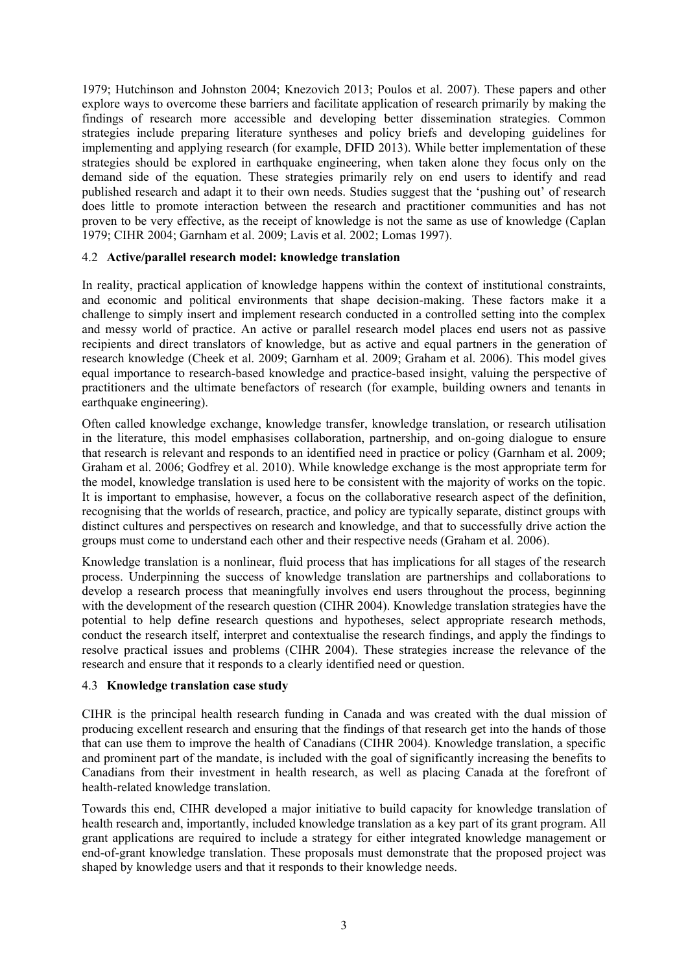1979; Hutchinson and Johnston 2004; Knezovich 2013; Poulos et al. 2007). These papers and other explore ways to overcome these barriers and facilitate application of research primarily by making the findings of research more accessible and developing better dissemination strategies. Common strategies include preparing literature syntheses and policy briefs and developing guidelines for implementing and applying research (for example, DFID 2013). While better implementation of these strategies should be explored in earthquake engineering, when taken alone they focus only on the demand side of the equation. These strategies primarily rely on end users to identify and read published research and adapt it to their own needs. Studies suggest that the 'pushing out' of research does little to promote interaction between the research and practitioner communities and has not proven to be very effective, as the receipt of knowledge is not the same as use of knowledge (Caplan 1979; CIHR 2004; Garnham et al. 2009; Lavis et al. 2002; Lomas 1997).

## 4.2 **Active/parallel research model: knowledge translation**

In reality, practical application of knowledge happens within the context of institutional constraints, and economic and political environments that shape decision-making. These factors make it a challenge to simply insert and implement research conducted in a controlled setting into the complex and messy world of practice. An active or parallel research model places end users not as passive recipients and direct translators of knowledge, but as active and equal partners in the generation of research knowledge (Cheek et al. 2009; Garnham et al. 2009; Graham et al. 2006). This model gives equal importance to research-based knowledge and practice-based insight, valuing the perspective of practitioners and the ultimate benefactors of research (for example, building owners and tenants in earthquake engineering).

Often called knowledge exchange, knowledge transfer, knowledge translation, or research utilisation in the literature, this model emphasises collaboration, partnership, and on-going dialogue to ensure that research is relevant and responds to an identified need in practice or policy (Garnham et al. 2009; Graham et al. 2006; Godfrey et al. 2010). While knowledge exchange is the most appropriate term for the model, knowledge translation is used here to be consistent with the majority of works on the topic. It is important to emphasise, however, a focus on the collaborative research aspect of the definition, recognising that the worlds of research, practice, and policy are typically separate, distinct groups with distinct cultures and perspectives on research and knowledge, and that to successfully drive action the groups must come to understand each other and their respective needs (Graham et al. 2006).

Knowledge translation is a nonlinear, fluid process that has implications for all stages of the research process. Underpinning the success of knowledge translation are partnerships and collaborations to develop a research process that meaningfully involves end users throughout the process, beginning with the development of the research question (CIHR 2004). Knowledge translation strategies have the potential to help define research questions and hypotheses, select appropriate research methods, conduct the research itself, interpret and contextualise the research findings, and apply the findings to resolve practical issues and problems (CIHR 2004). These strategies increase the relevance of the research and ensure that it responds to a clearly identified need or question.

#### 4.3 **Knowledge translation case study**

CIHR is the principal health research funding in Canada and was created with the dual mission of producing excellent research and ensuring that the findings of that research get into the hands of those that can use them to improve the health of Canadians (CIHR 2004). Knowledge translation, a specific and prominent part of the mandate, is included with the goal of significantly increasing the benefits to Canadians from their investment in health research, as well as placing Canada at the forefront of health-related knowledge translation.

Towards this end, CIHR developed a major initiative to build capacity for knowledge translation of health research and, importantly, included knowledge translation as a key part of its grant program. All grant applications are required to include a strategy for either integrated knowledge management or end-of-grant knowledge translation. These proposals must demonstrate that the proposed project was shaped by knowledge users and that it responds to their knowledge needs.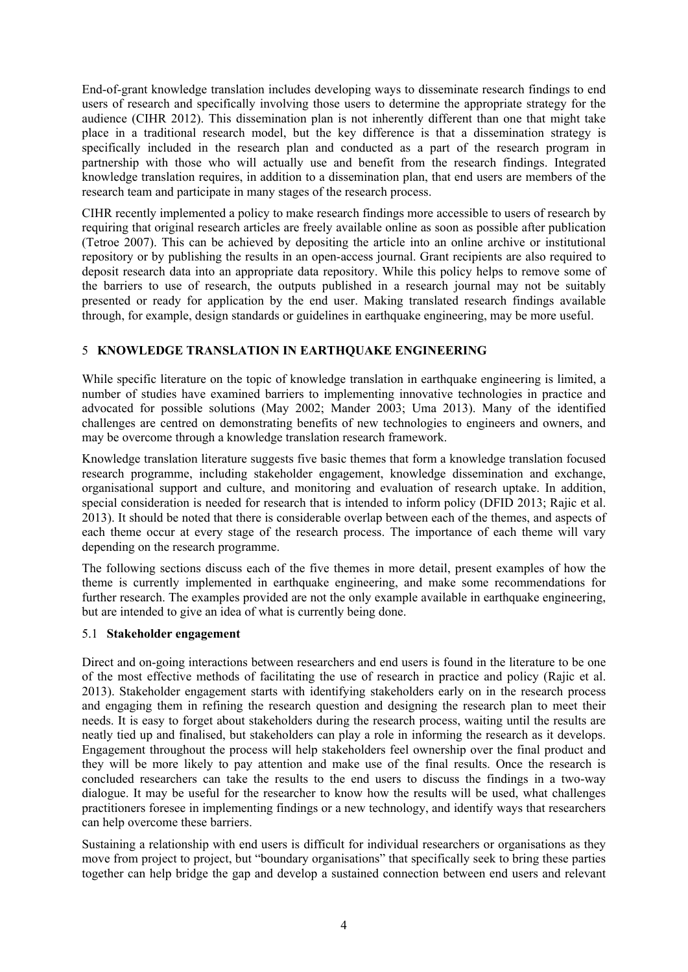End-of-grant knowledge translation includes developing ways to disseminate research findings to end users of research and specifically involving those users to determine the appropriate strategy for the audience (CIHR 2012). This dissemination plan is not inherently different than one that might take place in a traditional research model, but the key difference is that a dissemination strategy is specifically included in the research plan and conducted as a part of the research program in partnership with those who will actually use and benefit from the research findings. Integrated knowledge translation requires, in addition to a dissemination plan, that end users are members of the research team and participate in many stages of the research process.

CIHR recently implemented a policy to make research findings more accessible to users of research by requiring that original research articles are freely available online as soon as possible after publication (Tetroe 2007). This can be achieved by depositing the article into an online archive or institutional repository or by publishing the results in an open-access journal. Grant recipients are also required to deposit research data into an appropriate data repository. While this policy helps to remove some of the barriers to use of research, the outputs published in a research journal may not be suitably presented or ready for application by the end user. Making translated research findings available through, for example, design standards or guidelines in earthquake engineering, may be more useful.

# 5 **KNOWLEDGE TRANSLATION IN EARTHQUAKE ENGINEERING**

While specific literature on the topic of knowledge translation in earthquake engineering is limited, a number of studies have examined barriers to implementing innovative technologies in practice and advocated for possible solutions (May 2002; Mander 2003; Uma 2013). Many of the identified challenges are centred on demonstrating benefits of new technologies to engineers and owners, and may be overcome through a knowledge translation research framework.

Knowledge translation literature suggests five basic themes that form a knowledge translation focused research programme, including stakeholder engagement, knowledge dissemination and exchange, organisational support and culture, and monitoring and evaluation of research uptake. In addition, special consideration is needed for research that is intended to inform policy (DFID 2013; Rajic et al. 2013). It should be noted that there is considerable overlap between each of the themes, and aspects of each theme occur at every stage of the research process. The importance of each theme will vary depending on the research programme.

The following sections discuss each of the five themes in more detail, present examples of how the theme is currently implemented in earthquake engineering, and make some recommendations for further research. The examples provided are not the only example available in earthquake engineering, but are intended to give an idea of what is currently being done.

#### 5.1 **Stakeholder engagement**

Direct and on-going interactions between researchers and end users is found in the literature to be one of the most effective methods of facilitating the use of research in practice and policy (Rajic et al. 2013). Stakeholder engagement starts with identifying stakeholders early on in the research process and engaging them in refining the research question and designing the research plan to meet their needs. It is easy to forget about stakeholders during the research process, waiting until the results are neatly tied up and finalised, but stakeholders can play a role in informing the research as it develops. Engagement throughout the process will help stakeholders feel ownership over the final product and they will be more likely to pay attention and make use of the final results. Once the research is concluded researchers can take the results to the end users to discuss the findings in a two-way dialogue. It may be useful for the researcher to know how the results will be used, what challenges practitioners foresee in implementing findings or a new technology, and identify ways that researchers can help overcome these barriers.

Sustaining a relationship with end users is difficult for individual researchers or organisations as they move from project to project, but "boundary organisations" that specifically seek to bring these parties together can help bridge the gap and develop a sustained connection between end users and relevant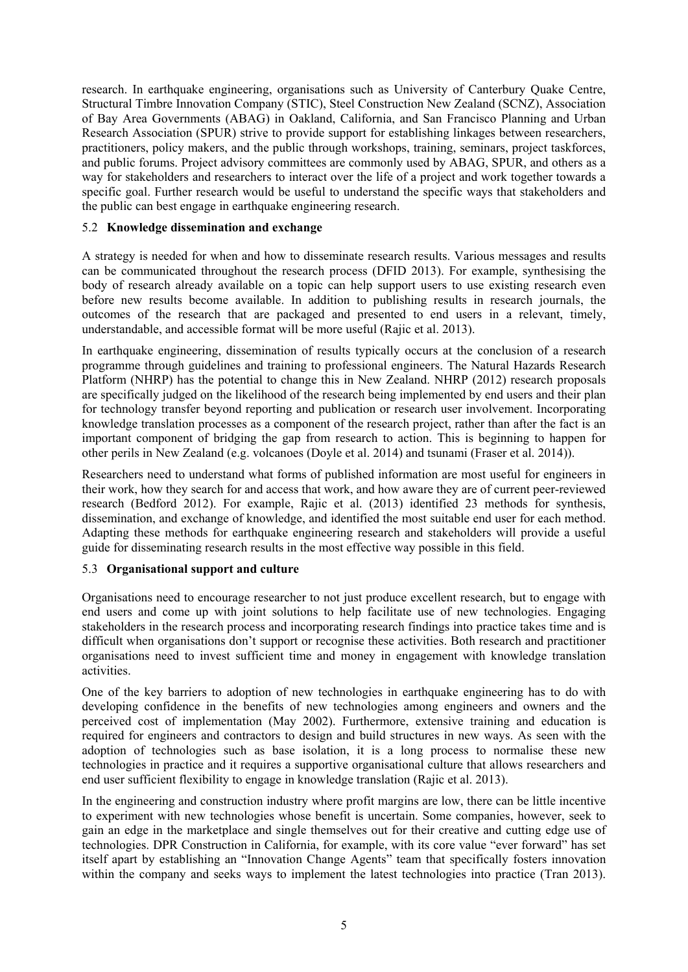research. In earthquake engineering, organisations such as University of Canterbury Quake Centre, Structural Timbre Innovation Company (STIC), Steel Construction New Zealand (SCNZ), Association of Bay Area Governments (ABAG) in Oakland, California, and San Francisco Planning and Urban Research Association (SPUR) strive to provide support for establishing linkages between researchers, practitioners, policy makers, and the public through workshops, training, seminars, project taskforces, and public forums. Project advisory committees are commonly used by ABAG, SPUR, and others as a way for stakeholders and researchers to interact over the life of a project and work together towards a specific goal. Further research would be useful to understand the specific ways that stakeholders and the public can best engage in earthquake engineering research.

## 5.2 **Knowledge dissemination and exchange**

A strategy is needed for when and how to disseminate research results. Various messages and results can be communicated throughout the research process (DFID 2013). For example, synthesising the body of research already available on a topic can help support users to use existing research even before new results become available. In addition to publishing results in research journals, the outcomes of the research that are packaged and presented to end users in a relevant, timely, understandable, and accessible format will be more useful (Rajic et al. 2013).

In earthquake engineering, dissemination of results typically occurs at the conclusion of a research programme through guidelines and training to professional engineers. The Natural Hazards Research Platform (NHRP) has the potential to change this in New Zealand. NHRP (2012) research proposals are specifically judged on the likelihood of the research being implemented by end users and their plan for technology transfer beyond reporting and publication or research user involvement. Incorporating knowledge translation processes as a component of the research project, rather than after the fact is an important component of bridging the gap from research to action. This is beginning to happen for other perils in New Zealand (e.g. volcanoes (Doyle et al. 2014) and tsunami (Fraser et al. 2014)).

Researchers need to understand what forms of published information are most useful for engineers in their work, how they search for and access that work, and how aware they are of current peer-reviewed research (Bedford 2012). For example, Rajic et al. (2013) identified 23 methods for synthesis, dissemination, and exchange of knowledge, and identified the most suitable end user for each method. Adapting these methods for earthquake engineering research and stakeholders will provide a useful guide for disseminating research results in the most effective way possible in this field.

# 5.3 **Organisational support and culture**

Organisations need to encourage researcher to not just produce excellent research, but to engage with end users and come up with joint solutions to help facilitate use of new technologies. Engaging stakeholders in the research process and incorporating research findings into practice takes time and is difficult when organisations don't support or recognise these activities. Both research and practitioner organisations need to invest sufficient time and money in engagement with knowledge translation activities.

One of the key barriers to adoption of new technologies in earthquake engineering has to do with developing confidence in the benefits of new technologies among engineers and owners and the perceived cost of implementation (May 2002). Furthermore, extensive training and education is required for engineers and contractors to design and build structures in new ways. As seen with the adoption of technologies such as base isolation, it is a long process to normalise these new technologies in practice and it requires a supportive organisational culture that allows researchers and end user sufficient flexibility to engage in knowledge translation (Rajic et al. 2013).

In the engineering and construction industry where profit margins are low, there can be little incentive to experiment with new technologies whose benefit is uncertain. Some companies, however, seek to gain an edge in the marketplace and single themselves out for their creative and cutting edge use of technologies. DPR Construction in California, for example, with its core value "ever forward" has set itself apart by establishing an "Innovation Change Agents" team that specifically fosters innovation within the company and seeks ways to implement the latest technologies into practice (Tran 2013).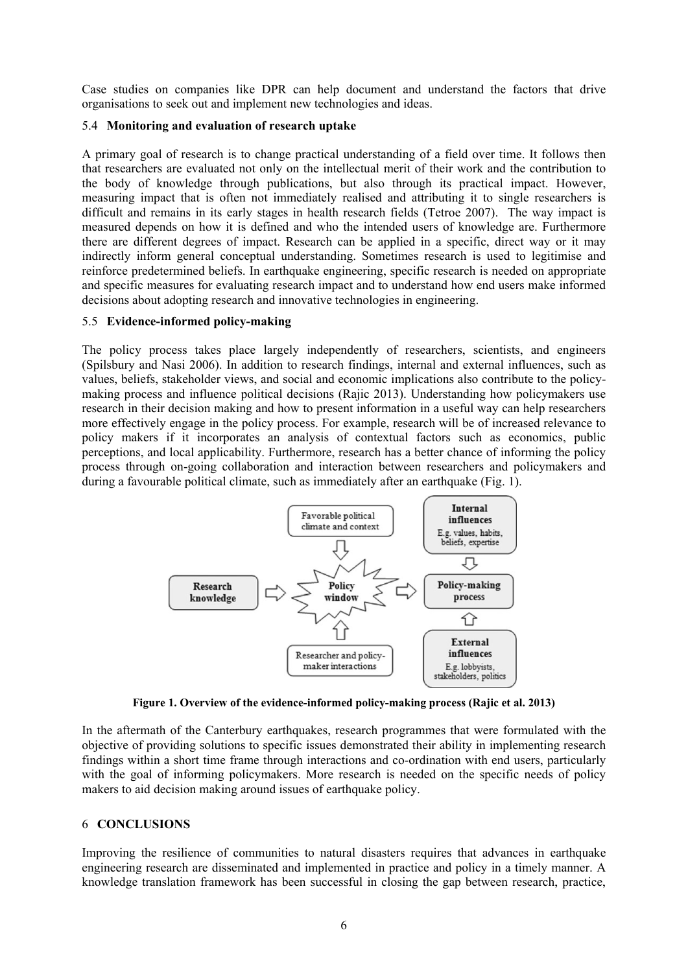Case studies on companies like DPR can help document and understand the factors that drive organisations to seek out and implement new technologies and ideas.

## 5.4 **Monitoring and evaluation of research uptake**

A primary goal of research is to change practical understanding of a field over time. It follows then that researchers are evaluated not only on the intellectual merit of their work and the contribution to the body of knowledge through publications, but also through its practical impact. However, measuring impact that is often not immediately realised and attributing it to single researchers is difficult and remains in its early stages in health research fields (Tetroe 2007). The way impact is measured depends on how it is defined and who the intended users of knowledge are. Furthermore there are different degrees of impact. Research can be applied in a specific, direct way or it may indirectly inform general conceptual understanding. Sometimes research is used to legitimise and reinforce predetermined beliefs. In earthquake engineering, specific research is needed on appropriate and specific measures for evaluating research impact and to understand how end users make informed decisions about adopting research and innovative technologies in engineering.

#### 5.5 **Evidence-informed policy-making**

The policy process takes place largely independently of researchers, scientists, and engineers (Spilsbury and Nasi 2006). In addition to research findings, internal and external influences, such as values, beliefs, stakeholder views, and social and economic implications also contribute to the policymaking process and influence political decisions (Rajic 2013). Understanding how policymakers use research in their decision making and how to present information in a useful way can help researchers more effectively engage in the policy process. For example, research will be of increased relevance to policy makers if it incorporates an analysis of contextual factors such as economics, public perceptions, and local applicability. Furthermore, research has a better chance of informing the policy process through on-going collaboration and interaction between researchers and policymakers and during a favourable political climate, such as immediately after an earthquake (Fig. 1).



**Figure 1. Overview of the evidence-informed policy-making process (Rajic et al. 2013)** 

In the aftermath of the Canterbury earthquakes, research programmes that were formulated with the objective of providing solutions to specific issues demonstrated their ability in implementing research findings within a short time frame through interactions and co-ordination with end users, particularly with the goal of informing policymakers. More research is needed on the specific needs of policy makers to aid decision making around issues of earthquake policy.

#### 6 **CONCLUSIONS**

Improving the resilience of communities to natural disasters requires that advances in earthquake engineering research are disseminated and implemented in practice and policy in a timely manner. A knowledge translation framework has been successful in closing the gap between research, practice,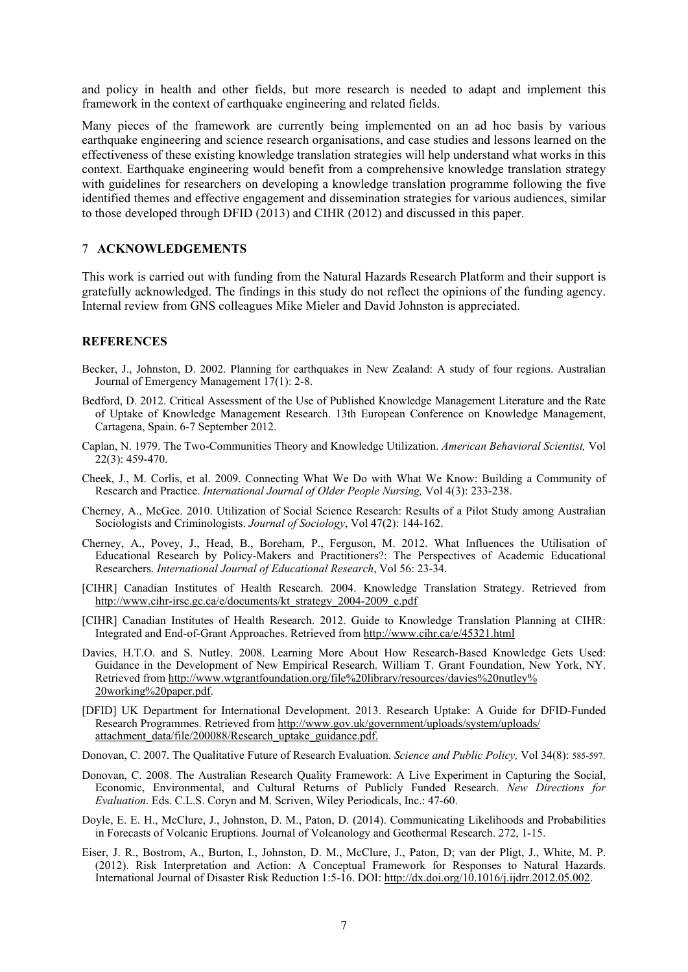and policy in health and other fields, but more research is needed to adapt and implement this framework in the context of earthquake engineering and related fields.

Many pieces of the framework are currently being implemented on an ad hoc basis by various earthquake engineering and science research organisations, and case studies and lessons learned on the effectiveness of these existing knowledge translation strategies will help understand what works in this context. Earthquake engineering would benefit from a comprehensive knowledge translation strategy with guidelines for researchers on developing a knowledge translation programme following the five identified themes and effective engagement and dissemination strategies for various audiences, similar to those developed through DFID (2013) and CIHR (2012) and discussed in this paper.

#### 7 **ACKNOWLEDGEMENTS**

This work is carried out with funding from the Natural Hazards Research Platform and their support is gratefully acknowledged. The findings in this study do not reflect the opinions of the funding agency. Internal review from GNS colleagues Mike Mieler and David Johnston is appreciated.

#### **REFERENCES**

- Becker, J., Johnston, D. 2002. Planning for earthquakes in New Zealand: A study of four regions. Australian Journal of Emergency Management 17(1): 2-8.
- Bedford, D. 2012. Critical Assessment of the Use of Published Knowledge Management Literature and the Rate of Uptake of Knowledge Management Research. 13th European Conference on Knowledge Management, Cartagena, Spain. 6-7 September 2012.
- Caplan, N. 1979. The Two-Communities Theory and Knowledge Utilization. *American Behavioral Scientist,* Vol 22(3): 459-470.
- Cheek, J., M. Corlis, et al. 2009. Connecting What We Do with What We Know: Building a Community of Research and Practice. *International Journal of Older People Nursing,* Vol 4(3): 233-238.
- Cherney, A., McGee. 2010. Utilization of Social Science Research: Results of a Pilot Study among Australian Sociologists and Criminologists. *Journal of Sociology*, Vol 47(2): 144-162.
- Cherney, A., Povey, J., Head, B., Boreham, P., Ferguson, M. 2012. What Influences the Utilisation of Educational Research by Policy-Makers and Practitioners?: The Perspectives of Academic Educational Researchers. *International Journal of Educational Research*, Vol 56: 23-34.
- [CIHR] Canadian Institutes of Health Research. 2004. Knowledge Translation Strategy. Retrieved from http://www.cihr-irsc.gc.ca/e/documents/kt\_strategy\_2004-2009\_e.pdf
- [CIHR] Canadian Institutes of Health Research. 2012. Guide to Knowledge Translation Planning at CIHR: Integrated and End-of-Grant Approaches. Retrieved from http://www.cihr.ca/e/45321.html
- Davies, H.T.O. and S. Nutley. 2008. Learning More About How Research-Based Knowledge Gets Used: Guidance in the Development of New Empirical Research. William T. Grant Foundation, New York, NY. Retrieved from http://www.wtgrantfoundation.org/file%20library/resources/davies%20nutley% 20working%20paper.pdf.
- [DFID] UK Department for International Development. 2013. Research Uptake: A Guide for DFID-Funded Research Programmes. Retrieved from http://www.gov.uk/government/uploads/system/uploads/ attachment\_data/file/200088/Research\_uptake\_guidance.pdf.
- Donovan, C. 2007. The Qualitative Future of Research Evaluation. *Science and Public Policy,* Vol 34(8): 585-597.
- Donovan, C. 2008. The Australian Research Quality Framework: A Live Experiment in Capturing the Social, Economic, Environmental, and Cultural Returns of Publicly Funded Research. *New Directions for Evaluation*. Eds. C.L.S. Coryn and M. Scriven, Wiley Periodicals, Inc.: 47-60.
- Doyle, E. E. H., McClure, J., Johnston, D. M., Paton, D. (2014). Communicating Likelihoods and Probabilities in Forecasts of Volcanic Eruptions. Journal of Volcanology and Geothermal Research. 272, 1-15.
- Eiser, J. R., Bostrom, A., Burton, I., Johnston, D. M., McClure, J., Paton, D; van der Pligt, J., White, M. P. (2012). Risk Interpretation and Action: A Conceptual Framework for Responses to Natural Hazards. International Journal of Disaster Risk Reduction 1:5-16. DOI: http://dx.doi.org/10.1016/j.ijdrr.2012.05.002.